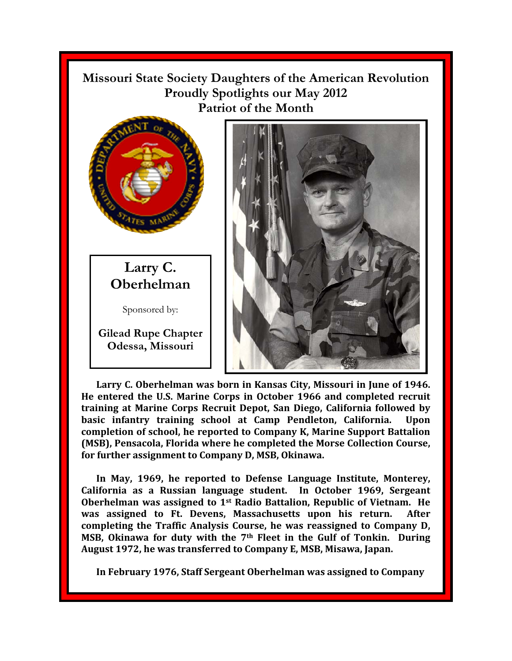**Missouri State Society Daughters of the American Revolution Proudly Spotlights our May 2012 Patriot of the Month** 



**Larry C. Oberhelman** 

Sponsored by:

**Gilead Rupe Chapter Odessa, Missouri** 



**Larry C. Oberhelman was born in Kansas City, Missouri in June of 1946. He entered the U.S. Marine Corps in October 1966 and completed recruit training at Marine Corps Recruit Depot, San Diego, California followed by basic infantry training school at Camp Pendleton, California. Upon completion of school, he reported to Company K, Marine Support Battalion (MSB), Pensacola, Florida where he completed the Morse Collection Course, for further assignment to Company D, MSB, Okinawa.** 

**In May, 1969, he reported to Defense Language Institute, Monterey, California as a Russian language student. In October 1969, Sergeant Oberhelman was assigned to 1st Radio Battalion, Republic of Vietnam. He was assigned to Ft. Devens, Massachusetts upon his return. After completing the Traffic Analysis Course, he was reassigned to Company D, MSB, Okinawa for duty with the 7th Fleet in the Gulf of Tonkin. During August 1972, he was transferred to Company E, MSB, Misawa, Japan.** 

**In February 1976, Staff Sergeant Oberhelman was assigned to Company**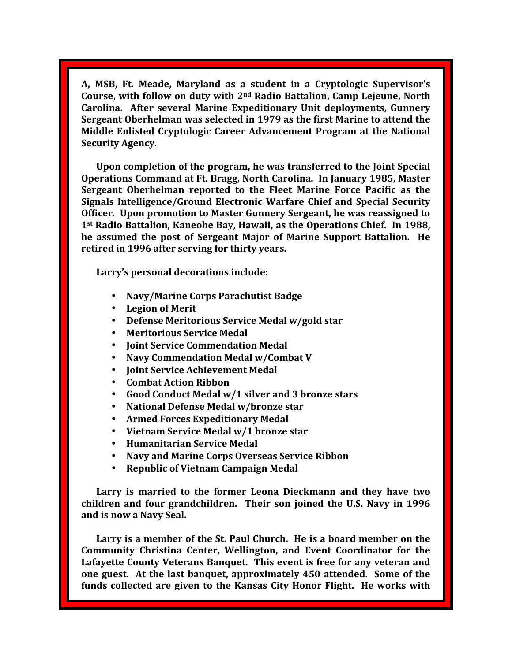A, MSB, Ft. Meade, Maryland as a student in a Cryptologic Supervisor's **Course, with follow on duty with 2nd Radio Battalion, Camp Lejeune, North Carolina. After several Marine Expeditionary Unit deployments, Gunnery Sergeant Oberhelman was selected in 1979 as the first Marine to attend the Middle Enlisted Cryptologic Career Advancement Program at the National Security Agency.** 

**Upon completion of the program, he was transferred to the Joint Special Operations Command at Ft. Bragg, North Carolina. In January 1985, Master Sergeant Oberhelman reported to the Fleet Marine Force Pacific as the Signals Intelligence/Ground Electronic Warfare Chief and Special Security Officer. Upon promotion to Master Gunnery Sergeant, he was reassigned to 1st Radio Battalion, Kaneohe Bay, Hawaii, as the Operations Chief. In 1988, he assumed the post of Sergeant Major of Marine Support Battalion. He retired in 1996 after serving for thirty years.** 

Larry's personal decorations include:

- **Navy/Marine Corps Parachutist Badge**
- **Legion of Merit**
- **Defense Meritorious Service Medal w/gold star**
- **Meritorious Service Medal**
- **Joint Service Commendation Medal**
- **Navy Commendation Medal w/Combat V**
- **Joint Service Achievement Medal**
- **Combat Action Ribbon**
- **Good Conduct Medal w/1 silver and 3 bronze stars**
- **National Defense Medal w/bronze star**
- **Armed Forces Expeditionary Medal**
- **Vietnam Service Medal w/1 bronze star**
- **Humanitarian Service Medal**
- **Navy and Marine Corps Overseas Service Ribbon**
- **Republic of Vietnam Campaign Medal**

**Larry is married to the former Leona Dieckmann and they have two children and four grandchildren. Their son joined the U.S. Navy in 1996 and is now a Navy Seal.** 

**Larry is a member of the St. Paul Church. He is a board member on the Community Christina Center, Wellington, and Event Coordinator for the Lafayette County Veterans Banquet. This event is free for any veteran and one guest. At the last banquet, approximately 450 attended. Some of the funds collected are given to the Kansas City Honor Flight. He works with**